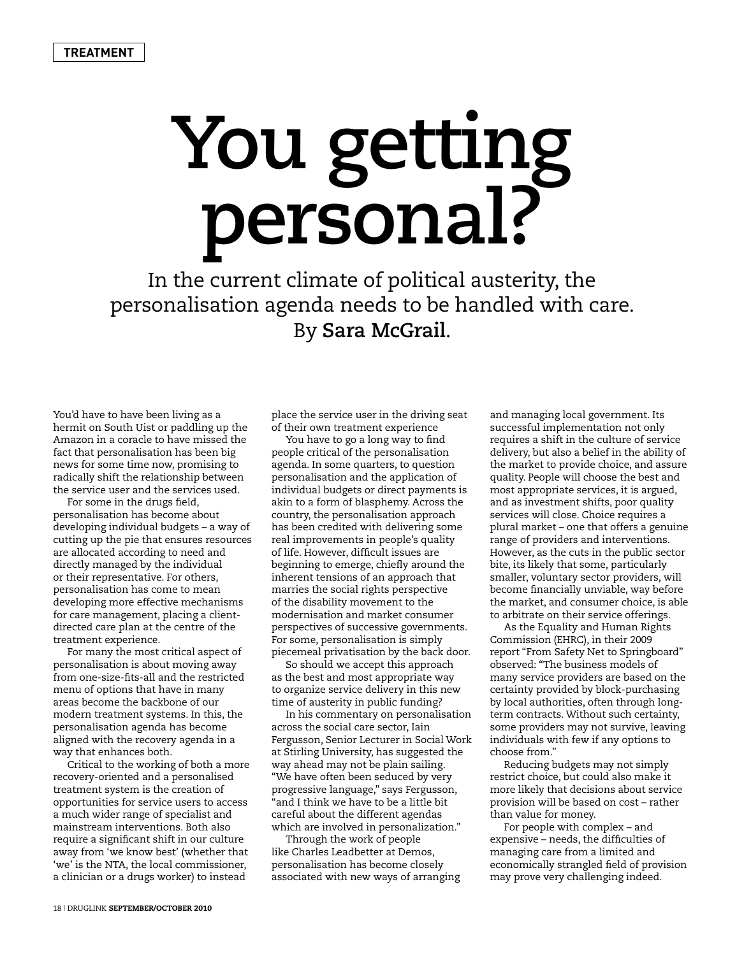## **You getting personal?**

In the current climate of political austerity, the personalisation agenda needs to be handled with care. By **Sara McGrail**.

You'd have to have been living as a hermit on South Uist or paddling up the Amazon in a coracle to have missed the fact that personalisation has been big news for some time now, promising to radically shift the relationship between the service user and the services used.

For some in the drugs field, personalisation has become about developing individual budgets – a way of cutting up the pie that ensures resources are allocated according to need and directly managed by the individual or their representative. For others, personalisation has come to mean developing more effective mechanisms for care management, placing a clientdirected care plan at the centre of the treatment experience.

For many the most critical aspect of personalisation is about moving away from one-size-fits-all and the restricted menu of options that have in many areas become the backbone of our modern treatment systems. In this, the personalisation agenda has become aligned with the recovery agenda in a way that enhances both.

Critical to the working of both a more recovery-oriented and a personalised treatment system is the creation of opportunities for service users to access a much wider range of specialist and mainstream interventions. Both also require a significant shift in our culture away from 'we know best' (whether that 'we' is the NTA, the local commissioner, a clinician or a drugs worker) to instead

place the service user in the driving seat of their own treatment experience

You have to go a long way to find people critical of the personalisation agenda. In some quarters, to question personalisation and the application of individual budgets or direct payments is akin to a form of blasphemy. Across the country, the personalisation approach has been credited with delivering some real improvements in people's quality of life. However, difficult issues are beginning to emerge, chiefly around the inherent tensions of an approach that marries the social rights perspective of the disability movement to the modernisation and market consumer perspectives of successive governments. For some, personalisation is simply piecemeal privatisation by the back door.

So should we accept this approach as the best and most appropriate way to organize service delivery in this new time of austerity in public funding?

In his commentary on personalisation across the social care sector, Iain Fergusson, Senior Lecturer in Social Work at Stirling University, has suggested the way ahead may not be plain sailing. "We have often been seduced by very progressive language," says Fergusson, "and I think we have to be a little bit careful about the different agendas which are involved in personalization."

Through the work of people like Charles Leadbetter at Demos, personalisation has become closely associated with new ways of arranging and managing local government. Its successful implementation not only requires a shift in the culture of service delivery, but also a belief in the ability of the market to provide choice, and assure quality. People will choose the best and most appropriate services, it is argued, and as investment shifts, poor quality services will close. Choice requires a plural market – one that offers a genuine range of providers and interventions. However, as the cuts in the public sector bite, its likely that some, particularly smaller, voluntary sector providers, will become financially unviable, way before the market, and consumer choice, is able to arbitrate on their service offerings.

As the Equality and Human Rights Commission (EHRC), in their 2009 report "From Safety Net to Springboard" observed: "The business models of many service providers are based on the certainty provided by block-purchasing by local authorities, often through longterm contracts. Without such certainty, some providers may not survive, leaving individuals with few if any options to choose from."

Reducing budgets may not simply restrict choice, but could also make it more likely that decisions about service provision will be based on cost – rather than value for money.

For people with complex – and expensive – needs, the difficulties of managing care from a limited and economically strangled field of provision may prove very challenging indeed.